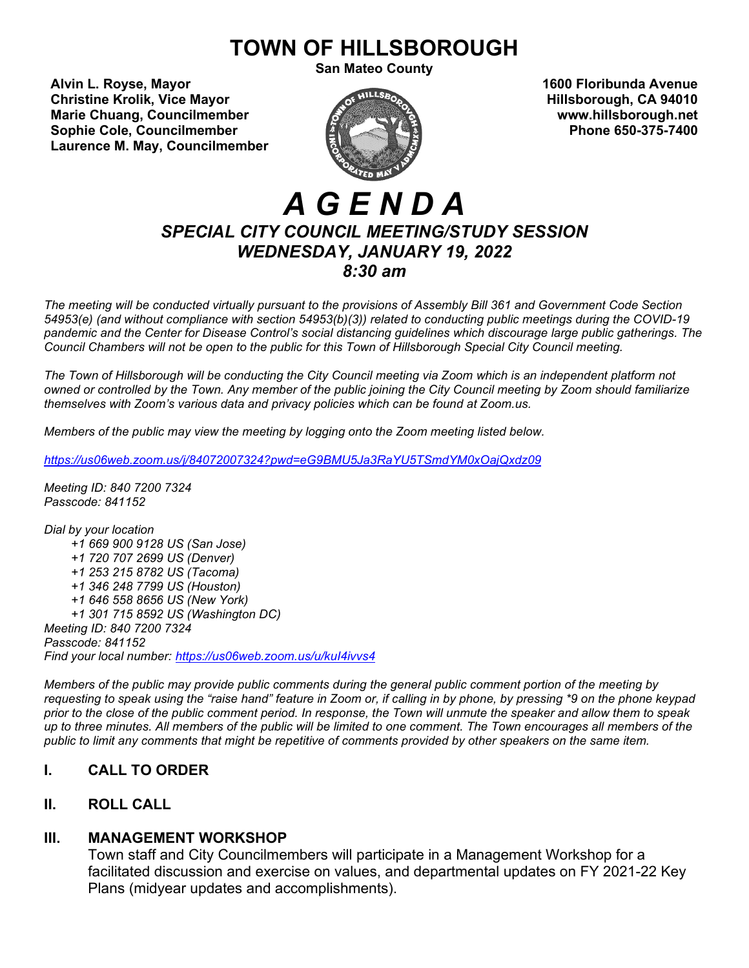# **TOWN OF HILLSBOROUGH**

**San Mateo County**

**Alvin L. Royse, Mayor 1600 Floribunda Avenue Christine Krolik, Vice Mayor Matter of the Control of Control of American Control Control Control Control Control Control Control Control Control Control Control Control Control Control Control Control Control Control C Marie Chuang, Councilmember www.hillsborough.net**<br> **Sophie Cole. Councilmember www.hillsborough.net**<br> **Phone 650-375-7400 Sophie Cole, Councilmember Laurence M. May, Councilmember**



# *A G E N D A SPECIAL CITY COUNCIL MEETING/STUDY SESSION WEDNESDAY, JANUARY 19, 2022 8:30 am*

*The meeting will be conducted virtually pursuant to the provisions of Assembly Bill 361 and Government Code Section 54953(e) (and without compliance with section 54953(b)(3)) related to conducting public meetings during the COVID-19 pandemic and the Center for Disease Control's social distancing guidelines which discourage large public gatherings. The Council Chambers will not be open to the public for this Town of Hillsborough Special City Council meeting.*

*The Town of Hillsborough will be conducting the City Council meeting via Zoom which is an independent platform not owned or controlled by the Town. Any member of the public joining the City Council meeting by Zoom should familiarize themselves with Zoom's various data and privacy policies which can be found at Zoom.us.*

*Members of the public may view the meeting by logging onto the Zoom meeting listed below.*

*<https://us06web.zoom.us/j/84072007324?pwd=eG9BMU5Ja3RaYU5TSmdYM0xOajQxdz09>*

*Meeting ID: 840 7200 7324 Passcode: 841152*

*Dial by your location +1 669 900 9128 US (San Jose) +1 720 707 2699 US (Denver) +1 253 215 8782 US (Tacoma) +1 346 248 7799 US (Houston) +1 646 558 8656 US (New York) +1 301 715 8592 US (Washington DC) Meeting ID: 840 7200 7324 Passcode: 841152 Find your local number: <https://us06web.zoom.us/u/kuI4ivvs4>* 

*Members of the public may provide public comments during the general public comment portion of the meeting by requesting to speak using the "raise hand" feature in Zoom or, if calling in by phone, by pressing \*9 on the phone keypad prior to the close of the public comment period. In response, the Town will unmute the speaker and allow them to speak up to three minutes. All members of the public will be limited to one comment. The Town encourages all members of the public to limit any comments that might be repetitive of comments provided by other speakers on the same item.*

# **I. CALL TO ORDER**

# **II. ROLL CALL**

# **III. MANAGEMENT WORKSHOP**

Town staff and City Councilmembers will participate in a Management Workshop for a facilitated discussion and exercise on values, and departmental updates on FY 2021-22 Key Plans (midyear updates and accomplishments).